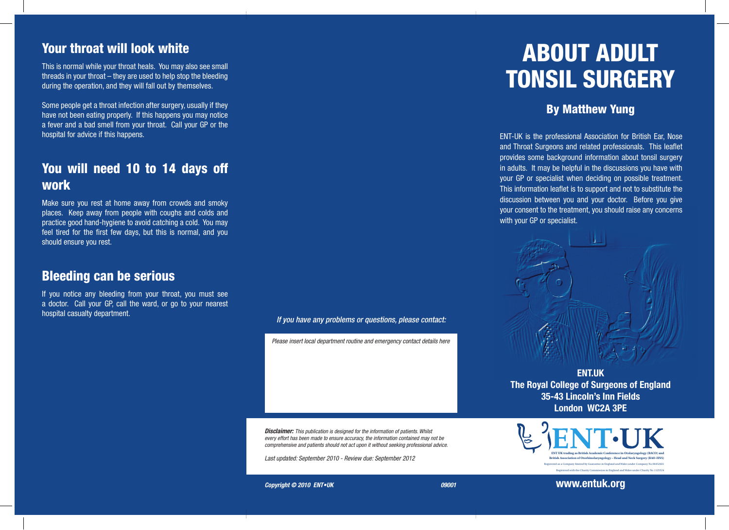### Your throat will look white

This is normal while your throat heals. You may also see small threads in your throat – they are used to help stop the bleeding during the operation, and they will fall out by themselves.

Some people get a throat infection after surgery, usually if they have not been eating properly. If this happens you may notice a fever and a bad smell from your throat. Call your GP or the hospital for advice if this happens.

# You will need 10 to 14 days off work

Make sure you rest at home away from crowds and smoky places. Keep away from people with coughs and colds and practice good hand-hygiene to avoid catching a cold. You may feel tired for the first few days, but this is normal, and you should ensure you rest.

#### Bleeding can be serious

If you notice any bleeding from your throat, you must see a doctor. Call your GP, call the ward, or go to your nearest hospital casualty department. *If you have any problems or questions, please contact:*

*Please insert local department routine and emergency contact details here*

*Disclaimer: This publication is designed for the information of patients. Whilst every effort has been made to ensure accuracy, the information contained may not be comprehensive and patients should not act upon it without seeking professional advice.*

*Last updated: September 2010 - Review due: September 2012* 

# ABOUT ADULT TONSIL SURGERY

#### By Matthew Yung

ENT-UK is the professional Association for British Ear, Nose and Throat Surgeons and related professionals. This leaflet provides some background information about tonsil surgery in adults. It may be helpful in the discussions you have with your GP or specialist when deciding on possible treatment. This information leaflet is to support and not to substitute the discussion between you and your doctor. Before you give your consent to the treatment, you should raise any concerns with your GP or specialist.



**ENT.UK The Royal College of Surgeons of England 35-43 Lincoln's Inn Fields London WC2A 3PE**



**Copyright © 2010 ENT•UK** 09001

**www.entuk.org**